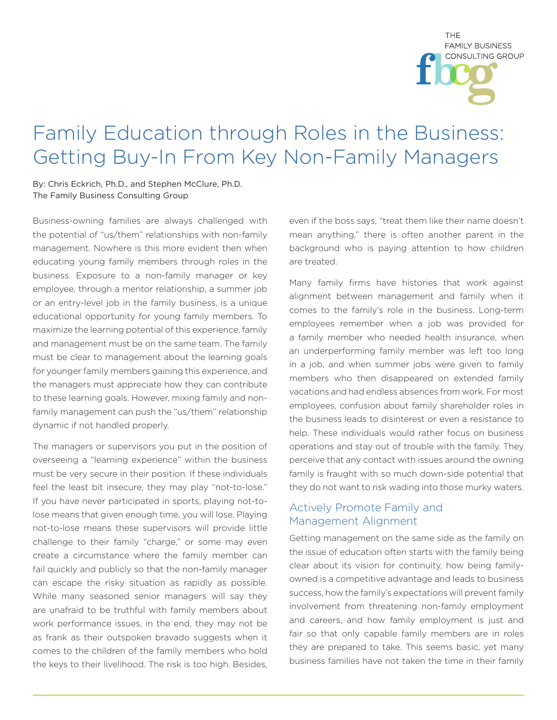THF. **FAMILY BUSINESS** CONSULTING GROUP

## Family Education through Roles in the Business: Getting Buy-In From Key Non-Family Managers

By: Chris Eckrich, Ph.D., and Stephen McClure, Ph.D. The Family Business Consulting Group

Business-owning families are always challenged with the potential of "us/them" relationships with non-family management. Nowhere is this more evident then when educating young family members through roles in the business. Exposure to a non-family manager or key employee, through a mentor relationship, a summer job or an entry-level job in the family business, is a unique educational opportunity for young family members. To maximize the learning potential of this experience, family and management must be on the same team. The family must be clear to management about the learning goals for younger family members gaining this experience, and the managers must appreciate how they can contribute to these learning goals. However, mixing family and nonfamily management can push the "us/them" relationship dynamic if not handled properly.

The managers or supervisors you put in the position of overseeing a "learning experience" within the business must be very secure in their position. If these individuals feel the least bit insecure, they may play "not-to-lose." If you have never participated in sports, playing not-tolose means that given enough time, you will lose. Playing not-to-lose means these supervisors will provide little challenge to their family "charge," or some may even create a circumstance where the family member can fail quickly and publicly so that the non-family manager can escape the risky situation as rapidly as possible. While many seasoned senior managers will say they are unafraid to be truthful with family members about work performance issues, in the end, they may not be as frank as their outspoken bravado suggests when it comes to the children of the family members who hold the keys to their livelihood. The risk is too high. Besides,

even if the boss says, "treat them like their name doesn't mean anything," there is often another parent in the background who is paying attention to how children are treated.

Many family firms have histories that work against alignment between management and family when it comes to the family's role in the business. Long-term employees remember when a job was provided for a family member who needed health insurance, when an underperforming family member was left too long in a job, and when summer jobs were given to family members who then disappeared on extended family vacations and had endless absences from work. For most employees, confusion about family shareholder roles in the business leads to disinterest or even a resistance to help. These individuals would rather focus on business operations and stay out of trouble with the family. They perceive that any contact with issues around the owning family is fraught with so much down-side potential that they do not want to risk wading into those murky waters.

## Actively Promote Family and Management Alignment

Getting management on the same side as the family on the issue of education often starts with the family being clear about its vision for continuity, how being familyowned is a competitive advantage and leads to business success, how the family's expectations will prevent family involvement from threatening non-family employment and careers, and how family employment is just and fair so that only capable family members are in roles they are prepared to take. This seems basic, yet many business families have not taken the time in their family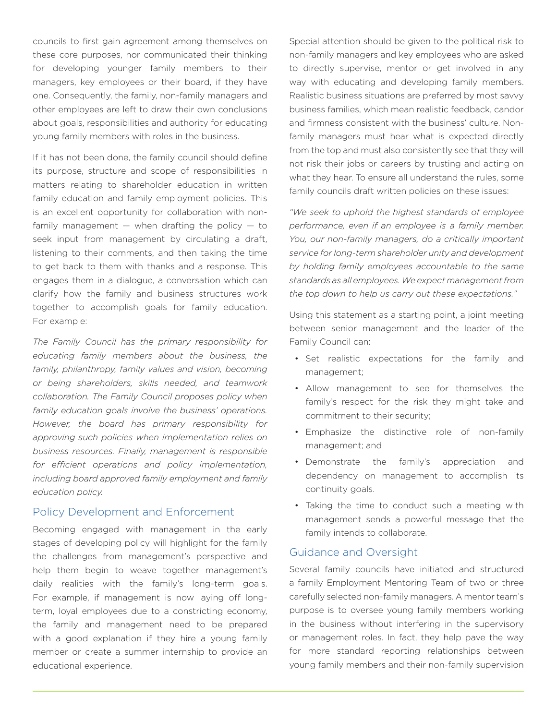councils to first gain agreement among themselves on these core purposes, nor communicated their thinking for developing younger family members to their managers, key employees or their board, if they have one. Consequently, the family, non-family managers and other employees are left to draw their own conclusions about goals, responsibilities and authority for educating young family members with roles in the business.

If it has not been done, the family council should define its purpose, structure and scope of responsibilities in matters relating to shareholder education in written family education and family employment policies. This is an excellent opportunity for collaboration with nonfamily management  $-$  when drafting the policy  $-$  to seek input from management by circulating a draft, listening to their comments, and then taking the time to get back to them with thanks and a response. This engages them in a dialogue, a conversation which can clarify how the family and business structures work together to accomplish goals for family education. For example:

*The Family Council has the primary responsibility for educating family members about the business, the family, philanthropy, family values and vision, becoming or being shareholders, skills needed, and teamwork collaboration. The Family Council proposes policy when family education goals involve the business' operations. However, the board has primary responsibility for approving such policies when implementation relies on business resources. Finally, management is responsible for efficient operations and policy implementation, including board approved family employment and family education policy.*

## Policy Development and Enforcement

Becoming engaged with management in the early stages of developing policy will highlight for the family the challenges from management's perspective and help them begin to weave together management's daily realities with the family's long-term goals. For example, if management is now laying off longterm, loyal employees due to a constricting economy, the family and management need to be prepared with a good explanation if they hire a young family member or create a summer internship to provide an educational experience.

Special attention should be given to the political risk to non-family managers and key employees who are asked to directly supervise, mentor or get involved in any way with educating and developing family members. Realistic business situations are preferred by most savvy business families, which mean realistic feedback, candor and firmness consistent with the business' culture. Nonfamily managers must hear what is expected directly from the top and must also consistently see that they will not risk their jobs or careers by trusting and acting on what they hear. To ensure all understand the rules, some family councils draft written policies on these issues:

*"We seek to uphold the highest standards of employee performance, even if an employee is a family member. You, our non-family managers, do a critically important service for long-term shareholder unity and development by holding family employees accountable to the same standards as all employees. We expect management from the top down to help us carry out these expectations."*

Using this statement as a starting point, a joint meeting between senior management and the leader of the Family Council can:

- Set realistic expectations for the family and management;
- Allow management to see for themselves the family's respect for the risk they might take and commitment to their security;
- Emphasize the distinctive role of non-family management; and
- Demonstrate the family's appreciation and dependency on management to accomplish its continuity goals.
- Taking the time to conduct such a meeting with management sends a powerful message that the family intends to collaborate.

## Guidance and Oversight

Several family councils have initiated and structured a family Employment Mentoring Team of two or three carefully selected non-family managers. A mentor team's purpose is to oversee young family members working in the business without interfering in the supervisory or management roles. In fact, they help pave the way for more standard reporting relationships between young family members and their non-family supervision